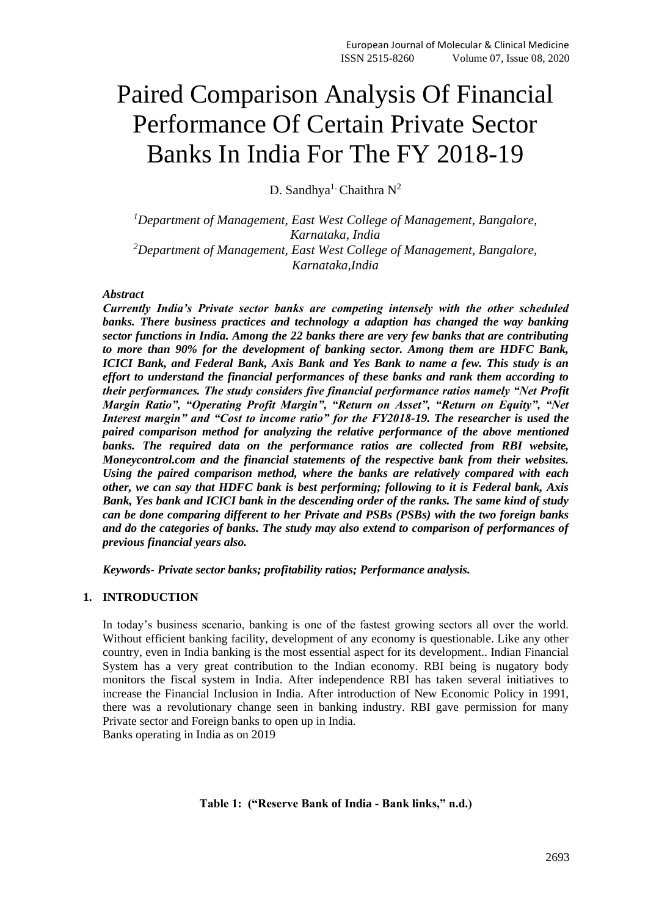# Paired Comparison Analysis Of Financial Performance Of Certain Private Sector Banks In India For The FY 2018-19

D. Sandhya<sup>1.</sup> Chaithra  $N^2$ 

*<sup>1</sup>Department of Management, East West College of Management, Bangalore, Karnataka, India <sup>2</sup>Department of Management, East West College of Management, Bangalore, Karnataka,India*

# *Abstract*

*Currently India's Private sector banks are competing intensely with the other scheduled banks. There business practices and technology a adaption has changed the way banking sector functions in India. Among the 22 banks there are very few banks that are contributing to more than 90% for the development of banking sector. Among them are HDFC Bank, ICICI Bank, and Federal Bank, Axis Bank and Yes Bank to name a few. This study is an effort to understand the financial performances of these banks and rank them according to their performances. The study considers five financial performance ratios namely "Net Profit Margin Ratio", "Operating Profit Margin", "Return on Asset", "Return on Equity", "Net Interest margin" and "Cost to income ratio" for the FY2018-19. The researcher is used the paired comparison method for analyzing the relative performance of the above mentioned*  banks. The required data on the performance ratios are collected from RBI website, *Moneycontrol.com and the financial statements of the respective bank from their websites. Using the paired comparison method, where the banks are relatively compared with each other, we can say that HDFC bank is best performing; following to it is Federal bank, Axis Bank, Yes bank and ICICI bank in the descending order of the ranks. The same kind of study can be done comparing different to her Private and PSBs (PSBs) with the two foreign banks and do the categories of banks. The study may also extend to comparison of performances of previous financial years also.*

*Keywords- Private sector banks; profitability ratios; Performance analysis.*

# **1. INTRODUCTION**

In today's business scenario, banking is one of the fastest growing sectors all over the world. Without efficient banking facility, development of any economy is questionable. Like any other country, even in India banking is the most essential aspect for its development.. Indian Financial System has a very great contribution to the Indian economy. RBI being is nugatory body monitors the fiscal system in India. After independence RBI has taken several initiatives to increase the Financial Inclusion in India. After introduction of New Economic Policy in 1991, there was a revolutionary change seen in banking industry. RBI gave permission for many Private sector and Foreign banks to open up in India. Banks operating in India as on 2019

**Table 1: ("Reserve Bank of India - Bank links," n.d.)**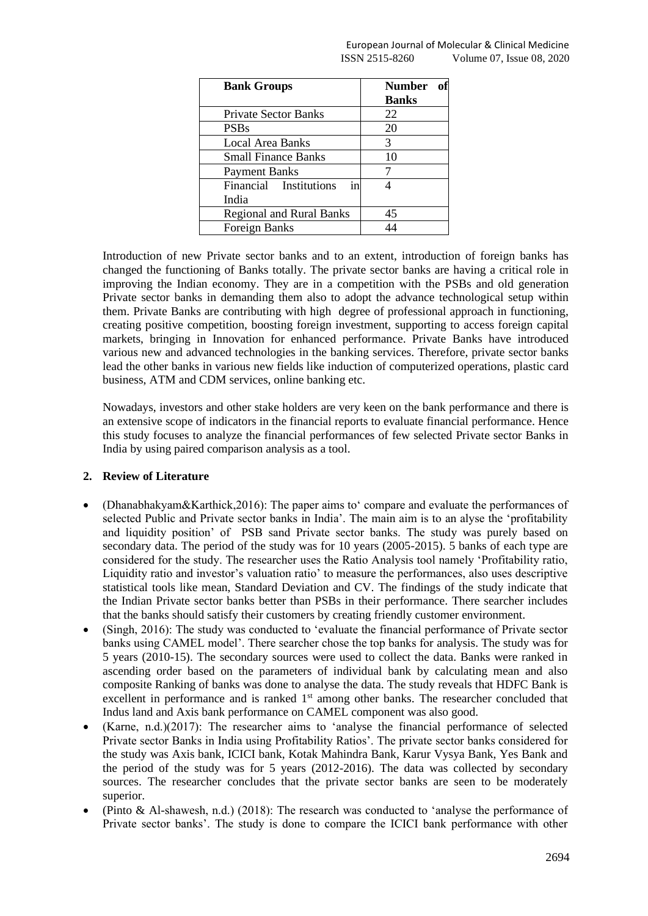| <b>Bank Groups</b>              | Number       |
|---------------------------------|--------------|
|                                 | <b>Banks</b> |
| <b>Private Sector Banks</b>     | 22           |
| <b>PSBs</b>                     | 20           |
| Local Area Banks                | 3            |
| <b>Small Finance Banks</b>      | 10           |
| <b>Payment Banks</b>            |              |
| Financial Institutions<br>1n    |              |
| India                           |              |
| <b>Regional and Rural Banks</b> | 45           |
| Foreign Banks                   |              |

Introduction of new Private sector banks and to an extent, introduction of foreign banks has changed the functioning of Banks totally. The private sector banks are having a critical role in improving the Indian economy. They are in a competition with the PSBs and old generation Private sector banks in demanding them also to adopt the advance technological setup within them. Private Banks are contributing with high degree of professional approach in functioning, creating positive competition, boosting foreign investment, supporting to access foreign capital markets, bringing in Innovation for enhanced performance. Private Banks have introduced various new and advanced technologies in the banking services. Therefore, private sector banks lead the other banks in various new fields like induction of computerized operations, plastic card business, ATM and CDM services, online banking etc.

Nowadays, investors and other stake holders are very keen on the bank performance and there is an extensive scope of indicators in the financial reports to evaluate financial performance. Hence this study focuses to analyze the financial performances of few selected Private sector Banks in India by using paired comparison analysis as a tool.

# **2. Review of Literature**

- (Dhanabhakyam&Karthick,2016): The paper aims to' compare and evaluate the performances of selected Public and Private sector banks in India'. The main aim is to an alyse the 'profitability and liquidity position' of PSB sand Private sector banks. The study was purely based on secondary data. The period of the study was for 10 years (2005-2015). 5 banks of each type are considered for the study. The researcher uses the Ratio Analysis tool namely 'Profitability ratio, Liquidity ratio and investor's valuation ratio' to measure the performances, also uses descriptive statistical tools like mean, Standard Deviation and CV. The findings of the study indicate that the Indian Private sector banks better than PSBs in their performance. There searcher includes that the banks should satisfy their customers by creating friendly customer environment.
- (Singh, 2016): The study was conducted to 'evaluate the financial performance of Private sector banks using CAMEL model'. There searcher chose the top banks for analysis. The study was for 5 years (2010-15). The secondary sources were used to collect the data. Banks were ranked in ascending order based on the parameters of individual bank by calculating mean and also composite Ranking of banks was done to analyse the data. The study reveals that HDFC Bank is excellent in performance and is ranked 1<sup>st</sup> among other banks. The researcher concluded that Indus land and Axis bank performance on CAMEL component was also good.
- (Karne, n.d.)(2017): The researcher aims to 'analyse the financial performance of selected Private sector Banks in India using Profitability Ratios'. The private sector banks considered for the study was Axis bank, ICICI bank, Kotak Mahindra Bank, Karur Vysya Bank, Yes Bank and the period of the study was for 5 years (2012-2016). The data was collected by secondary sources. The researcher concludes that the private sector banks are seen to be moderately superior.
- (Pinto & Al-shawesh, n.d.) (2018): The research was conducted to 'analyse the performance of Private sector banks'. The study is done to compare the ICICI bank performance with other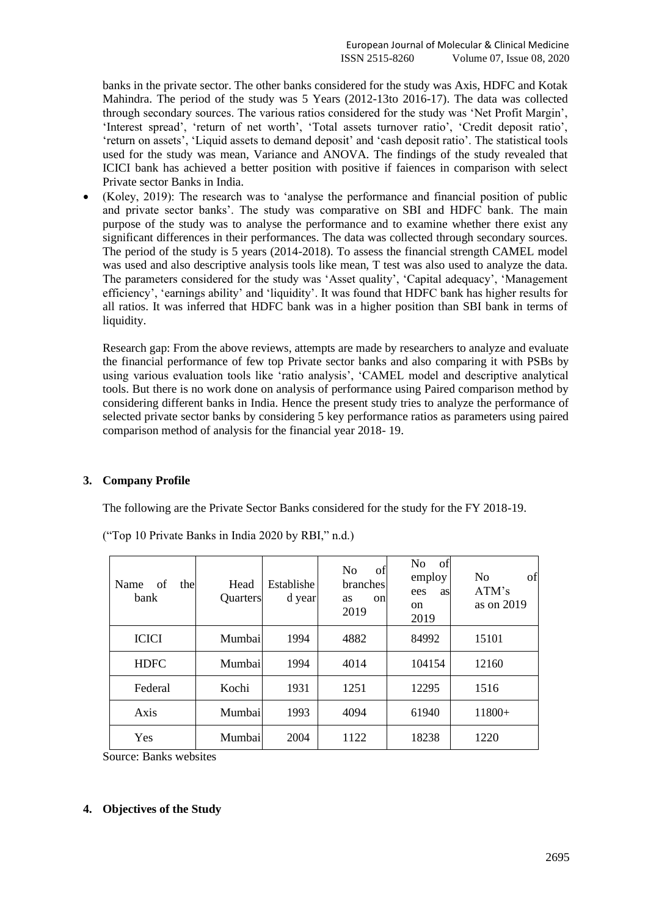banks in the private sector. The other banks considered for the study was Axis, HDFC and Kotak Mahindra. The period of the study was 5 Years (2012-13to 2016-17). The data was collected through secondary sources. The various ratios considered for the study was 'Net Profit Margin', 'Interest spread', 'return of net worth', 'Total assets turnover ratio', 'Credit deposit ratio', 'return on assets', 'Liquid assets to demand deposit' and 'cash deposit ratio'. The statistical tools used for the study was mean, Variance and ANOVA. The findings of the study revealed that ICICI bank has achieved a better position with positive if faiences in comparison with select Private sector Banks in India.

• (Koley, 2019): The research was to 'analyse the performance and financial position of public and private sector banks'. The study was comparative on SBI and HDFC bank. The main purpose of the study was to analyse the performance and to examine whether there exist any significant differences in their performances. The data was collected through secondary sources. The period of the study is 5 years (2014-2018). To assess the financial strength CAMEL model was used and also descriptive analysis tools like mean, T test was also used to analyze the data. The parameters considered for the study was 'Asset quality', 'Capital adequacy', 'Management efficiency', 'earnings ability' and 'liquidity'. It was found that HDFC bank has higher results for all ratios. It was inferred that HDFC bank was in a higher position than SBI bank in terms of liquidity.

Research gap: From the above reviews, attempts are made by researchers to analyze and evaluate the financial performance of few top Private sector banks and also comparing it with PSBs by using various evaluation tools like 'ratio analysis', 'CAMEL model and descriptive analytical tools. But there is no work done on analysis of performance using Paired comparison method by considering different banks in India. Hence the present study tries to analyze the performance of selected private sector banks by considering 5 key performance ratios as parameters using paired comparison method of analysis for the financial year 2018- 19.

# **3. Company Profile**

The following are the Private Sector Banks considered for the study for the FY 2018-19.

| Name<br>of<br>the<br>bank | Head<br>Quarters | Establishe<br>d year | N <sub>0</sub><br>οf<br>branches<br>on<br><b>as</b><br>2019 | N <sub>0</sub><br>of<br>employ<br>ees<br>as<br>on<br>2019 | of<br>N <sub>0</sub><br>ATM's<br>as on 2019 |
|---------------------------|------------------|----------------------|-------------------------------------------------------------|-----------------------------------------------------------|---------------------------------------------|
| <b>ICICI</b>              | Mumbail          | 1994                 | 4882                                                        | 84992                                                     | 15101                                       |
| <b>HDFC</b>               | Mumbail          | 1994                 | 4014                                                        | 104154                                                    | 12160                                       |
| Federal                   | Kochi            | 1931                 | 1251                                                        | 12295                                                     | 1516                                        |
| Axis                      | Mumbail          | 1993                 | 4094                                                        | 61940                                                     | $11800+$                                    |
| Yes                       | Mumbai           | 2004                 | 1122                                                        | 18238                                                     | 1220                                        |

("Top 10 Private Banks in India 2020 by RBI," n.d.)

Source: Banks websites

# **4. Objectives of the Study**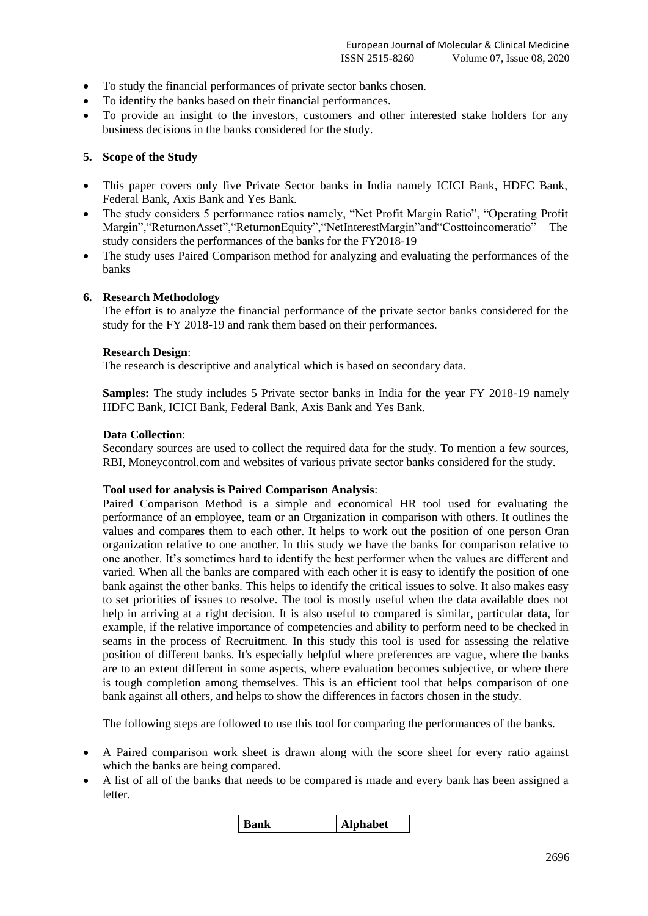- To study the financial performances of private sector banks chosen.
- To identify the banks based on their financial performances.
- To provide an insight to the investors, customers and other interested stake holders for any business decisions in the banks considered for the study.

# **5. Scope of the Study**

- This paper covers only five Private Sector banks in India namely ICICI Bank, HDFC Bank, Federal Bank, Axis Bank and Yes Bank.
- The study considers 5 performance ratios namely, "Net Profit Margin Ratio", "Operating Profit Margin","ReturnonAsset","ReturnonEquity","NetInterestMargin"and"Costtoincomeratio" The study considers the performances of the banks for the FY2018-19
- The study uses Paired Comparison method for analyzing and evaluating the performances of the banks

# **6. Research Methodology**

The effort is to analyze the financial performance of the private sector banks considered for the study for the FY 2018-19 and rank them based on their performances.

# **Research Design**:

The research is descriptive and analytical which is based on secondary data.

**Samples:** The study includes 5 Private sector banks in India for the year FY 2018-19 namely HDFC Bank, ICICI Bank, Federal Bank, Axis Bank and Yes Bank.

# **Data Collection**:

Secondary sources are used to collect the required data for the study. To mention a few sources, RBI, Moneycontrol.com and websites of various private sector banks considered for the study.

# **Tool used for analysis is Paired Comparison Analysis**:

Paired Comparison Method is a simple and economical HR tool used for evaluating the performance of an employee, team or an Organization in comparison with others. It outlines the values and compares them to each other. It helps to work out the position of one person Oran organization relative to one another. In this study we have the banks for comparison relative to one another. It's sometimes hard to identify the best performer when the values are different and varied. When all the banks are compared with each other it is easy to identify the position of one bank against the other banks. This helps to identify the critical issues to solve. It also makes easy to set priorities of issues to resolve. The tool is mostly useful when the data available does not help in arriving at a right decision. It is also useful to compared is similar, particular data, for example, if the relative importance of competencies and ability to perform need to be checked in seams in the process of Recruitment. In this study this tool is used for assessing the relative position of different banks. It's especially helpful where preferences are vague, where the banks are to an extent different in some aspects, where evaluation becomes subjective, or where there is tough completion among themselves. This is an efficient tool that helps comparison of one bank against all others, and helps to show the differences in factors chosen in the study.

The following steps are followed to use this tool for comparing the performances of the banks.

- A Paired comparison work sheet is drawn along with the score sheet for every ratio against which the banks are being compared.
- A list of all of the banks that needs to be compared is made and every bank has been assigned a letter.

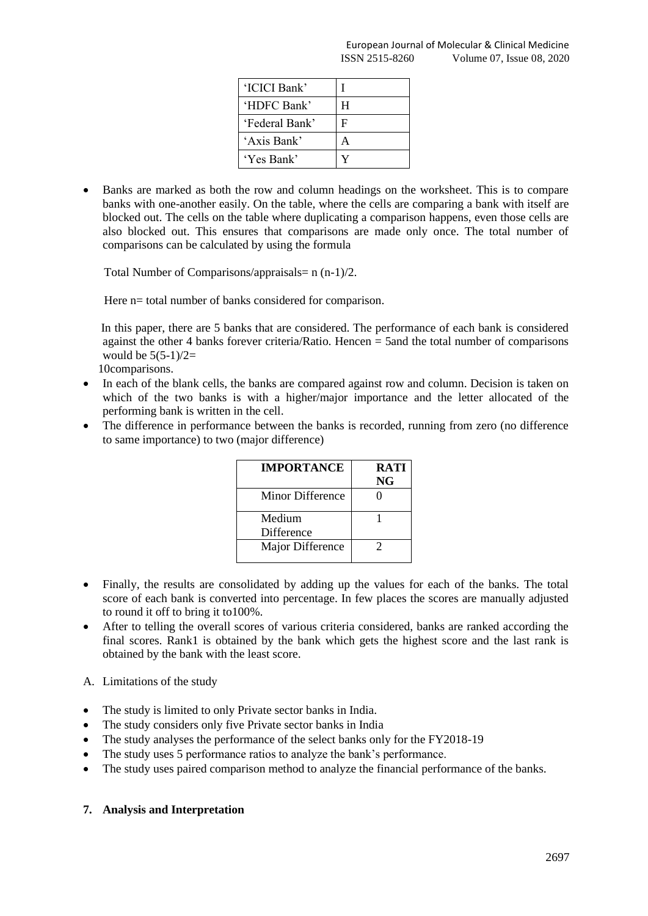| 'ICICI Bank'   |   |
|----------------|---|
| 'HDFC Bank'    | H |
| 'Federal Bank' | F |
| 'Axis Bank'    |   |
| 'Yes Bank'     |   |

• Banks are marked as both the row and column headings on the worksheet. This is to compare banks with one-another easily. On the table, where the cells are comparing a bank with itself are blocked out. The cells on the table where duplicating a comparison happens, even those cells are also blocked out. This ensures that comparisons are made only once. The total number of comparisons can be calculated by using the formula

Total Number of Comparisons/appraisals=  $n (n-1)/2$ .

Here n= total number of banks considered for comparison.

 In this paper, there are 5 banks that are considered. The performance of each bank is considered against the other 4 banks forever criteria/Ratio. Hencen  $=$  5 and the total number of comparisons would be  $5(5-1)/2=$ 

10comparisons.

- In each of the blank cells, the banks are compared against row and column. Decision is taken on which of the two banks is with a higher/major importance and the letter allocated of the performing bank is written in the cell.
- The difference in performance between the banks is recorded, running from zero (no difference to same importance) to two (major difference)

| <b>IMPORTANCE</b>    | <b>RATI</b><br>NG |
|----------------------|-------------------|
| Minor Difference     |                   |
| Medium<br>Difference |                   |
| Major Difference     |                   |

- Finally, the results are consolidated by adding up the values for each of the banks. The total score of each bank is converted into percentage. In few places the scores are manually adjusted to round it off to bring it to100%.
- After to telling the overall scores of various criteria considered, banks are ranked according the final scores. Rank1 is obtained by the bank which gets the highest score and the last rank is obtained by the bank with the least score.
- A. Limitations of the study
- The study is limited to only Private sector banks in India.
- The study considers only five Private sector banks in India
- The study analyses the performance of the select banks only for the FY2018-19
- The study uses 5 performance ratios to analyze the bank's performance.
- The study uses paired comparison method to analyze the financial performance of the banks.

# **7. Analysis and Interpretation**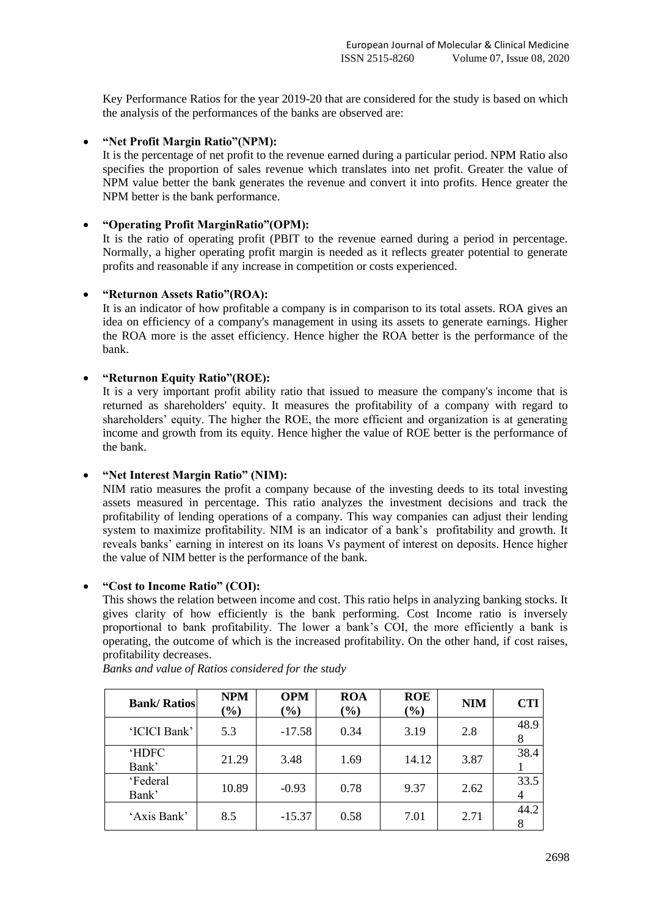Key Performance Ratios for the year 2019-20 that are considered for the study is based on which the analysis of the performances of the banks are observed are:

# • **"Net Profit Margin Ratio"(NPM):**

It is the percentage of net profit to the revenue earned during a particular period. NPM Ratio also specifies the proportion of sales revenue which translates into net profit. Greater the value of NPM value better the bank generates the revenue and convert it into profits. Hence greater the NPM better is the bank performance.

# • **"Operating Profit MarginRatio"(OPM):**

It is the ratio of operating profit (PBIT to the revenue earned during a period in percentage. Normally, a higher operating profit margin is needed as it reflects greater potential to generate profits and reasonable if any increase in competition or costs experienced.

# • **"Returnon Assets Ratio"(ROA):**

It is an indicator of how profitable a company is in comparison to its total assets. ROA gives an idea on efficiency of a company's management in using its assets to generate earnings. Higher the ROA more is the asset efficiency. Hence higher the ROA better is the performance of the bank.

# • **"Returnon Equity Ratio"(ROE):**

It is a very important profit ability ratio that issued to measure the company's income that is returned as shareholders' equity. It measures the profitability of a company with regard to shareholders' equity. The higher the ROE, the more efficient and organization is at generating income and growth from its equity. Hence higher the value of ROE better is the performance of the bank.

# • **"Net Interest Margin Ratio" (NIM):**

NIM ratio measures the profit a company because of the investing deeds to its total investing assets measured in percentage. This ratio analyzes the investment decisions and track the profitability of lending operations of a company. This way companies can adjust their lending system to maximize profitability. NIM is an indicator of a bank's profitability and growth. It reveals banks' earning in interest on its loans Vs payment of interest on deposits. Hence higher the value of NIM better is the performance of the bank.

# • **"Cost to Income Ratio" (COI):**

This shows the relation between income and cost. This ratio helps in analyzing banking stocks. It gives clarity of how efficiently is the bank performing. Cost Income ratio is inversely proportional to bank profitability. The lower a bank's COI, the more efficiently a bank is operating, the outcome of which is the increased profitability. On the other hand, if cost raises, profitability decreases.

| <b>Bank/Ratios</b>   | <b>NPM</b><br>$(\%)$ | <b>OPM</b><br>$(\%)$ | <b>ROA</b><br>$(\%)$ | <b>ROE</b><br>$(\%)$ | <b>NIM</b> | <b>CTI</b> |
|----------------------|----------------------|----------------------|----------------------|----------------------|------------|------------|
| 'ICICI Bank'         | 5.3                  | $-17.58$             | 0.34                 | 3.19                 | 2.8        | 48.9       |
| <b>HDFC</b><br>Bank' | 21.29                | 3.48                 | 1.69                 | 14.12                | 3.87       | 38.4       |
| 'Federal<br>Bank'    | 10.89                | $-0.93$              | 0.78                 | 9.37                 | 2.62       | 33.5       |
| 'Axis Bank'          | 8.5                  | $-15.37$             | 0.58                 | 7.01                 | 2.71       | 44.2       |

*Banks and value of Ratios considered for the study*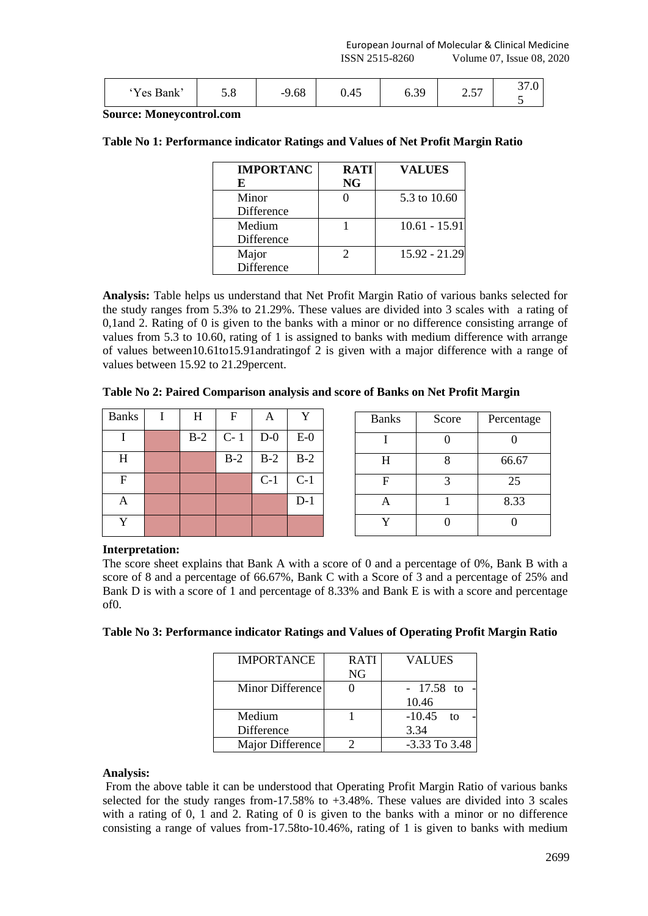| 'Yes<br>Bank <sup>*</sup> | J.O | $\sim$ $\sim$<br>9.08<br>-5 | 0.45 | 30 <sup>°</sup> | $\overline{\phantom{0}}$<br>ا ن | ⌒~<br>$\cup$ . $\cup$ |
|---------------------------|-----|-----------------------------|------|-----------------|---------------------------------|-----------------------|
|---------------------------|-----|-----------------------------|------|-----------------|---------------------------------|-----------------------|

**Source: Moneycontrol.com**

|  | Table No 1: Performance indicator Ratings and Values of Net Profit Margin Ratio |  |  |  |
|--|---------------------------------------------------------------------------------|--|--|--|
|  |                                                                                 |  |  |  |

| <b>IMPORTANC</b> | <b>RATI</b> | <b>VALUES</b>   |
|------------------|-------------|-----------------|
| E                | <b>NG</b>   |                 |
| Minor            |             | 5.3 to 10.60    |
| Difference       |             |                 |
| Medium           |             | $10.61 - 15.91$ |
| Difference       |             |                 |
| Major            |             | 15.92 - 21.29   |
| Difference       |             |                 |

**Analysis:** Table helps us understand that Net Profit Margin Ratio of various banks selected for the study ranges from 5.3% to 21.29%. These values are divided into 3 scales with a rating of 0,1and 2. Rating of 0 is given to the banks with a minor or no difference consisting arrange of values from 5.3 to 10.60, rating of 1 is assigned to banks with medium difference with arrange of values between10.61to15.91andratingof 2 is given with a major difference with a range of values between 15.92 to 21.29percent.

| Table No 2: Paired Comparison analysis and score of Banks on Net Profit Margin |  |  |  |  |  |
|--------------------------------------------------------------------------------|--|--|--|--|--|
|--------------------------------------------------------------------------------|--|--|--|--|--|

| <b>Banks</b> | H     | F     | A     |       | <b>Banks</b> | Score | Percentage |
|--------------|-------|-------|-------|-------|--------------|-------|------------|
|              | $B-2$ | $C-1$ | $D-0$ | $E-0$ |              |       |            |
| H            |       | $B-2$ | $B-2$ | $B-2$ | H            |       | 66.67      |
| F            |       |       | $C-1$ | $C-1$ | $\mathbf F$  | ⌒     | 25         |
| A            |       |       |       | $D-1$ | A            |       | 8.33       |
| $\mathbf v$  |       |       |       |       | $\mathbf{v}$ |       |            |

# **Interpretation:**

The score sheet explains that Bank A with a score of 0 and a percentage of 0%, Bank B with a score of 8 and a percentage of 66.67%, Bank C with a Score of 3 and a percentage of 25% and Bank D is with a score of 1 and percentage of 8.33% and Bank E is with a score and percentage of0.

|  | Table No 3: Performance indicator Ratings and Values of Operating Profit Margin Ratio |  |  |  |
|--|---------------------------------------------------------------------------------------|--|--|--|
|  |                                                                                       |  |  |  |

| <b>IMPORTANCE</b> | <b>RATI</b> | <b>VALUES</b>     |
|-------------------|-------------|-------------------|
|                   | NG          |                   |
| Minor Difference  |             | $-17.58$ to       |
|                   |             | 10.46             |
| Medium            |             | $-10.45$ to       |
| <b>Difference</b> |             | 3.34              |
| Major Difference  |             | $-3.33$ To $3.48$ |
|                   |             |                   |

# **Analysis:**

From the above table it can be understood that Operating Profit Margin Ratio of various banks selected for the study ranges from-17.58% to +3.48%. These values are divided into 3 scales with a rating of 0, 1 and 2. Rating of 0 is given to the banks with a minor or no difference consisting a range of values from-17.58to-10.46%, rating of 1 is given to banks with medium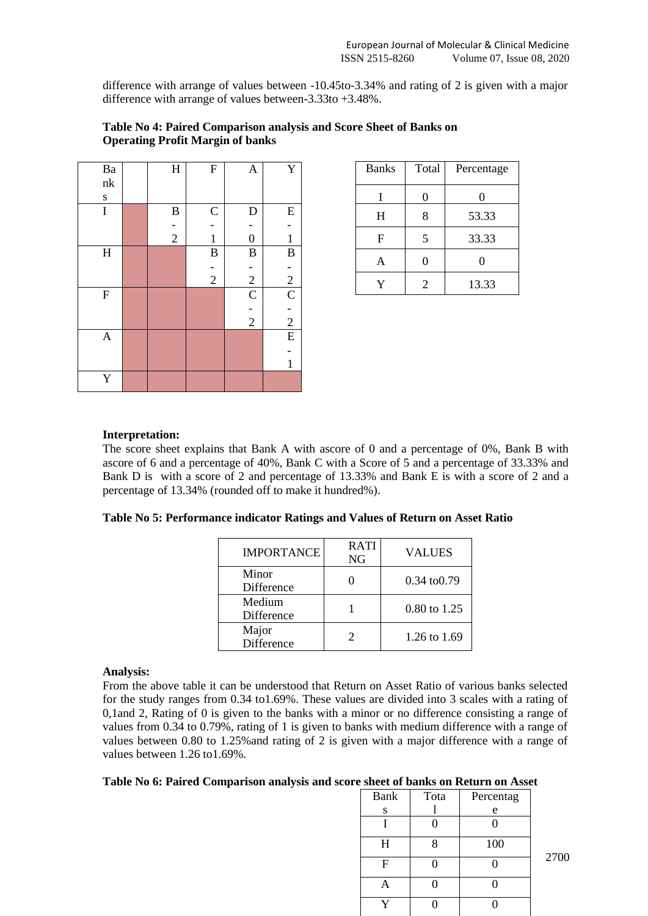difference with arrange of values between -10.45to-3.34% and rating of 2 is given with a major difference with arrange of values between-3.33to +3.48%.

| $\rm Ba$                         | $H_{\rm}$     | ${\bf F}$     | $\mathbf{A}$     | $\mathbf Y$    |
|----------------------------------|---------------|---------------|------------------|----------------|
| $\ensuremath{\text{n}}\xspace k$ |               |               |                  |                |
| $\mathbf S$                      |               |               |                  |                |
| $\bf I$                          | $\, {\bf B}$  | $\mathsf{C}$  | $\mathbf D$      | ${\bf E}$      |
|                                  |               |               |                  |                |
|                                  | $\frac{1}{2}$ | $\mathbf 1$   | $\boldsymbol{0}$ | $\mathbf{1}$   |
| $\rm H$                          |               | $\bf{B}$      | $\bf{B}$         | $\bf{B}$       |
|                                  |               |               |                  |                |
|                                  |               | $\frac{1}{2}$ | $\overline{c}$   | $\frac{1}{2}$  |
| ${\bf F}$                        |               |               | $\mathbf C$      | $\overline{C}$ |
|                                  |               |               |                  |                |
|                                  |               |               | $\overline{2}$   | $\frac{1}{2}$  |
| $\boldsymbol{\mathsf{A}}$        |               |               |                  | E              |
|                                  |               |               |                  |                |
|                                  |               |               |                  | $\mathbf{1}$   |
| $\mathbf Y$                      |               |               |                  |                |

|                                         | Table No 4: Paired Comparison analysis and Score Sheet of Banks on |
|-----------------------------------------|--------------------------------------------------------------------|
| <b>Operating Profit Margin of banks</b> |                                                                    |

# Banks | Total | Percentage  $I \begin{array}{|c|c|c|c|c|} \hline 0 & 0 & 0 \\ \hline \end{array}$ H | 8 | 53.33 F | 5 | 33.33 A 0 0  $Y \begin{array}{|c|c|c|c|c|} \hline 2 & 13.33 \\ \hline \end{array}$

# **Interpretation:**

The score sheet explains that Bank A with ascore of 0 and a percentage of 0%, Bank B with ascore of 6 and a percentage of 40%, Bank C with a Score of 5 and a percentage of 33.33% and Bank D is with a score of 2 and percentage of 13.33% and Bank E is with a score of 2 and a percentage of 13.34% (rounded off to make it hundred%).

|  |  |  |  |  |  | Table No 5: Performance indicator Ratings and Values of Return on Asset Ratio |
|--|--|--|--|--|--|-------------------------------------------------------------------------------|
|--|--|--|--|--|--|-------------------------------------------------------------------------------|

| <b>IMPORTANCE</b>    | <b>RATI</b><br>NG | <b>VALUES</b>           |
|----------------------|-------------------|-------------------------|
| Minor<br>Difference  |                   | $0.34 \text{ to } 0.79$ |
| Medium<br>Difference |                   | 0.80 to 1.25            |
| Major<br>Difference  |                   | 1.26 to 1.69            |

# **Analysis:**

From the above table it can be understood that Return on Asset Ratio of various banks selected for the study ranges from 0.34 to1.69%. These values are divided into 3 scales with a rating of 0,1and 2, Rating of 0 is given to the banks with a minor or no difference consisting a range of values from 0.34 to 0.79%, rating of 1 is given to banks with medium difference with a range of values between 0.80 to 1.25%and rating of 2 is given with a major difference with a range of values between 1.26 to1.69%.

#### **Table No 6: Paired Comparison analysis and score sheet of banks on Return on Asset**

| Bank | Tota | Percentag |
|------|------|-----------|
| s    |      | e         |
|      |      |           |
| H    | 8    | 100       |
| F    |      |           |
|      |      |           |
|      |      |           |

2700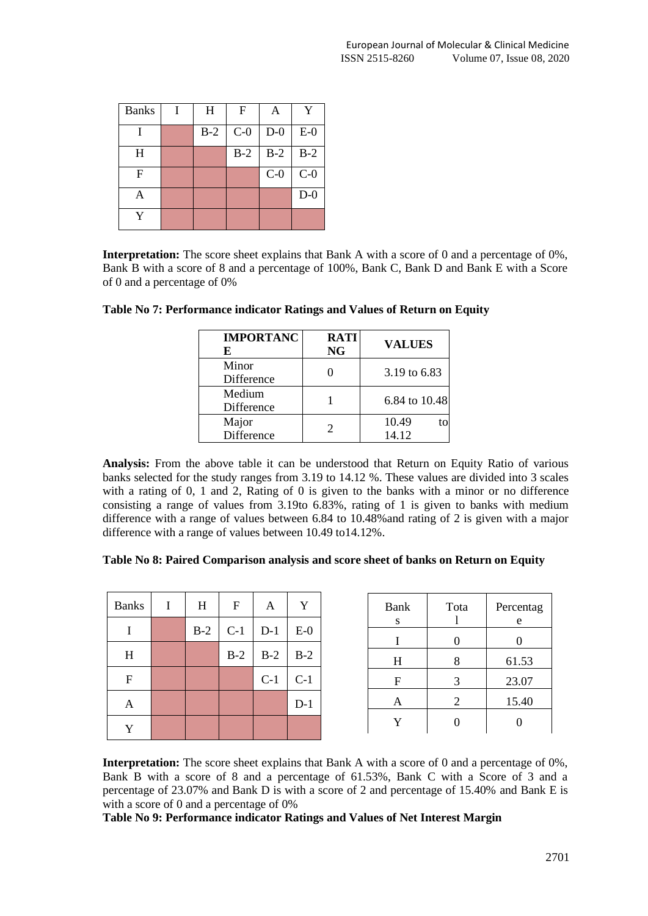| <b>Banks</b> | H     | $\mathbf F$ | A     | Y     |
|--------------|-------|-------------|-------|-------|
|              | $B-2$ | $C-0$       | $D-0$ | $E-0$ |
| H            |       | $B-2$       | $B-2$ | $B-2$ |
| $\mathbf F$  |       |             | $C-0$ | $C-0$ |
| A            |       |             |       | $D-0$ |
|              |       |             |       |       |

**Interpretation:** The score sheet explains that Bank A with a score of 0 and a percentage of 0%, Bank B with a score of 8 and a percentage of 100%, Bank C, Bank D and Bank E with a Score of 0 and a percentage of 0%

| <b>IMPORTANC</b><br>E | <b>RATI</b><br>NG | <b>VALUES</b>        |
|-----------------------|-------------------|----------------------|
| Minor<br>Difference   |                   | 3.19 to 6.83         |
| Medium<br>Difference  |                   | 6.84 to 10.48        |
| Major<br>Difference   |                   | 10.49<br>to<br>14.12 |

| Table No 7: Performance indicator Ratings and Values of Return on Equity |  |  |  |
|--------------------------------------------------------------------------|--|--|--|
|                                                                          |  |  |  |

**Analysis:** From the above table it can be understood that Return on Equity Ratio of various banks selected for the study ranges from 3.19 to 14.12 %. These values are divided into 3 scales with a rating of 0, 1 and 2, Rating of 0 is given to the banks with a minor or no difference consisting a range of values from 3.19to 6.83%, rating of 1 is given to banks with medium difference with a range of values between 6.84 to 10.48%and rating of 2 is given with a major difference with a range of values between 10.49 to14.12%.

| <b>Banks</b> | $\bf{I}$ | H     | F     | A     | Y     | Bank | Tota           | Percentag |
|--------------|----------|-------|-------|-------|-------|------|----------------|-----------|
|              |          | $B-2$ | $C-1$ | $D-1$ | $E-0$ | S    |                | e         |
|              |          |       |       |       |       |      | $\theta$       |           |
| H            |          |       | $B-2$ | $B-2$ | $B-2$ | H    | 8              | 61.53     |
| $\mathbf{F}$ |          |       |       | $C-1$ | $C-1$ | F    | 3              | 23.07     |
| A            |          |       |       |       | $D-1$ | A    | 2              | 15.40     |
| Y            |          |       |       |       |       | Y    | $\overline{0}$ | $\Omega$  |
|              |          |       |       |       |       |      |                |           |

**Interpretation:** The score sheet explains that Bank A with a score of 0 and a percentage of 0%, Bank B with a score of 8 and a percentage of 61.53%, Bank C with a Score of 3 and a percentage of 23.07% and Bank D is with a score of 2 and percentage of 15.40% and Bank E is with a score of 0 and a percentage of 0%

**Table No 9: Performance indicator Ratings and Values of Net Interest Margin**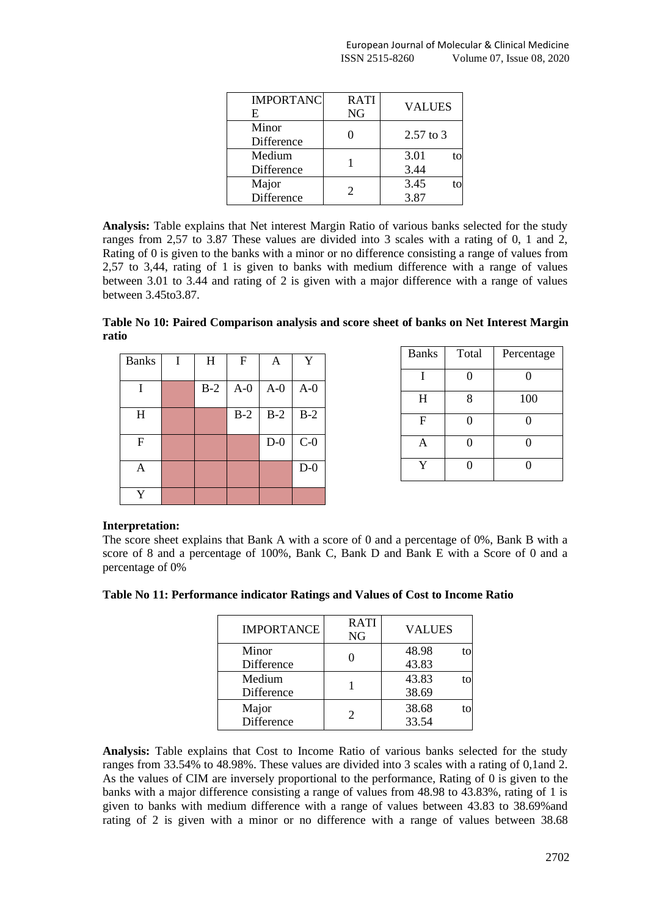| <b>IMPORTANC</b><br>E | <b>RATI</b><br><b>NG</b> | <b>VALUES</b> |
|-----------------------|--------------------------|---------------|
| Minor<br>Difference   |                          | $2.57$ to 3   |
| Medium<br>Difference  |                          | 3.01<br>3.44  |
| Major<br>Difference   |                          | 3.45<br>3.87  |

**Analysis:** Table explains that Net interest Margin Ratio of various banks selected for the study ranges from 2,57 to 3.87 These values are divided into 3 scales with a rating of 0, 1 and 2, Rating of 0 is given to the banks with a minor or no difference consisting a range of values from 2,57 to 3,44, rating of 1 is given to banks with medium difference with a range of values between 3.01 to 3.44 and rating of 2 is given with a major difference with a range of values between 3.45to3.87.

**Table No 10: Paired Comparison analysis and score sheet of banks on Net Interest Margin ratio**

| <b>Banks</b> | I | H     | $\mathbf F$ | A     | Y     |
|--------------|---|-------|-------------|-------|-------|
|              |   |       |             |       |       |
| I            |   | $B-2$ | $A-0$       | $A-0$ | $A-0$ |
| H            |   |       | $B-2$       | $B-2$ | $B-2$ |
| $\mathbf F$  |   |       |             | $D-0$ | $C-0$ |
| Α            |   |       |             |       | $D-0$ |
| Y            |   |       |             |       |       |

| <b>Banks</b> | Total | Percentage |
|--------------|-------|------------|
|              |       |            |
| H            | 8     | 100        |
| F            | ∩     | 0          |
| A            | 0     | O          |
|              |       |            |

# **Interpretation:**

The score sheet explains that Bank A with a score of 0 and a percentage of 0%, Bank B with a score of 8 and a percentage of 100%, Bank C, Bank D and Bank E with a Score of 0 and a percentage of 0%

|  |  |  | Table No 11: Performance indicator Ratings and Values of Cost to Income Ratio |
|--|--|--|-------------------------------------------------------------------------------|
|  |  |  |                                                                               |

| <b>IMPORTANCE</b>    | <b>RATI</b><br>NG | <b>VALUES</b>  |    |
|----------------------|-------------------|----------------|----|
| Minor<br>Difference  |                   | 48.98<br>43.83 | to |
| Medium<br>Difference |                   | 43.83<br>38.69 | to |
| Major<br>Difference  |                   | 38.68<br>33.54 | to |

**Analysis:** Table explains that Cost to Income Ratio of various banks selected for the study ranges from 33.54% to 48.98%. These values are divided into 3 scales with a rating of 0,1and 2. As the values of CIM are inversely proportional to the performance, Rating of 0 is given to the banks with a major difference consisting a range of values from 48.98 to 43.83%, rating of 1 is given to banks with medium difference with a range of values between 43.83 to 38.69%and rating of 2 is given with a minor or no difference with a range of values between 38.68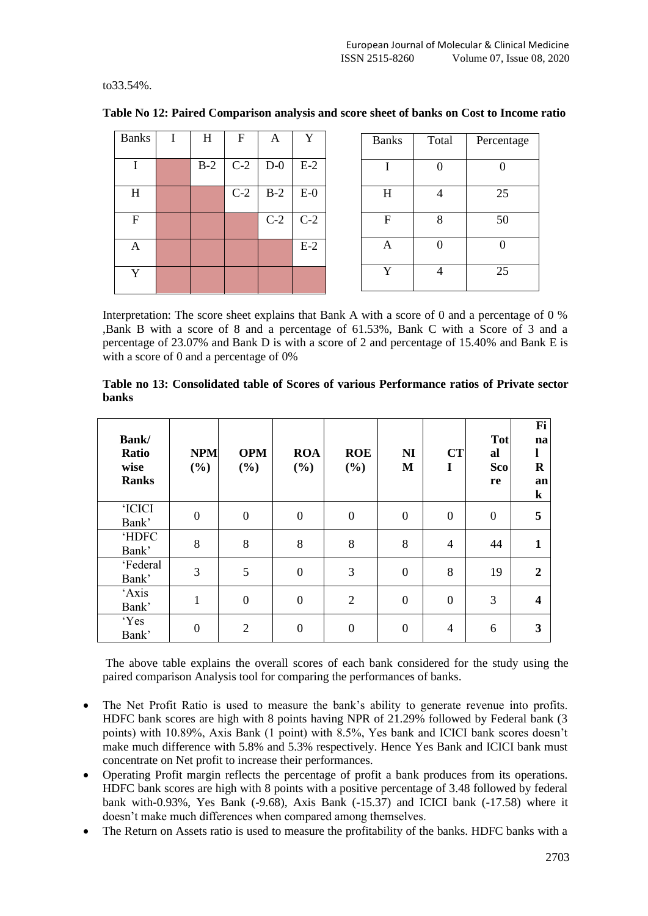to33.54%.

| <b>Banks</b> | I | H     | F     | A     | Y     | <b>Banks</b> | Total          | Percentage |
|--------------|---|-------|-------|-------|-------|--------------|----------------|------------|
|              |   | $B-2$ | $C-2$ | $D-0$ | $E-2$ |              | 0              |            |
| $H_{\rm}$    |   |       | $C-2$ | $B-2$ | $E-0$ | H            | $\overline{4}$ | 25         |
| F            |   |       |       | $C-2$ | $C-2$ | F            | 8              | 50         |
| A            |   |       |       |       | $E-2$ | A            |                | 0          |
| Y            |   |       |       |       |       | Y            | 4              | 25         |

**Table No 12: Paired Comparison analysis and score sheet of banks on Cost to Income ratio**

Interpretation: The score sheet explains that Bank A with a score of 0 and a percentage of 0 % ,Bank B with a score of 8 and a percentage of 61.53%, Bank C with a Score of 3 and a percentage of 23.07% and Bank D is with a score of 2 and percentage of 15.40% and Bank E is with a score of 0 and a percentage of 0%

**Table no 13: Consolidated table of Scores of various Performance ratios of Private sector banks**

| Bank/<br>Ratio<br>wise<br><b>Ranks</b> | <b>NPM</b><br>(%) | <b>OPM</b><br>$(\%)$ | <b>ROA</b><br>$(\%)$ | <b>ROE</b><br>(%) | N <sub>I</sub><br>M | <b>CT</b><br>I   | Tot<br>al<br>Sco<br>re | Fi<br>na<br>$\bf R$<br>an<br>$\bf k$ |
|----------------------------------------|-------------------|----------------------|----------------------|-------------------|---------------------|------------------|------------------------|--------------------------------------|
| <b>'ICICI</b><br>Bank'                 | $\boldsymbol{0}$  | $\boldsymbol{0}$     | $\mathbf{0}$         | $\boldsymbol{0}$  | $\boldsymbol{0}$    | $\boldsymbol{0}$ | $\boldsymbol{0}$       | 5                                    |
| <b>HDFC</b><br>Bank'                   | 8                 | 8                    | 8                    | 8                 | 8                   | $\overline{4}$   | 44                     | 1                                    |
| 'Federal<br>Bank'                      | 3                 | 5                    | $\mathbf{0}$         | 3                 | $\boldsymbol{0}$    | 8                | 19                     | $\overline{2}$                       |
| 'Axis<br>Bank'                         | 1                 | $\boldsymbol{0}$     | $\mathbf{0}$         | $\overline{2}$    | $\boldsymbol{0}$    | $\boldsymbol{0}$ | 3                      | $\overline{\mathbf{4}}$              |
| 'Yes<br>Bank'                          | $\boldsymbol{0}$  | $\overline{2}$       | $\overline{0}$       | $\mathbf{0}$      | $\boldsymbol{0}$    | $\overline{4}$   | 6                      | 3                                    |

The above table explains the overall scores of each bank considered for the study using the paired comparison Analysis tool for comparing the performances of banks.

- The Net Profit Ratio is used to measure the bank's ability to generate revenue into profits. HDFC bank scores are high with 8 points having NPR of 21.29% followed by Federal bank (3 points) with 10.89%, Axis Bank (1 point) with 8.5%, Yes bank and ICICI bank scores doesn't make much difference with 5.8% and 5.3% respectively. Hence Yes Bank and ICICI bank must concentrate on Net profit to increase their performances.
- Operating Profit margin reflects the percentage of profit a bank produces from its operations. HDFC bank scores are high with 8 points with a positive percentage of 3.48 followed by federal bank with-0.93%, Yes Bank (-9.68), Axis Bank (-15.37) and ICICI bank (-17.58) where it doesn't make much differences when compared among themselves.
- The Return on Assets ratio is used to measure the profitability of the banks. HDFC banks with a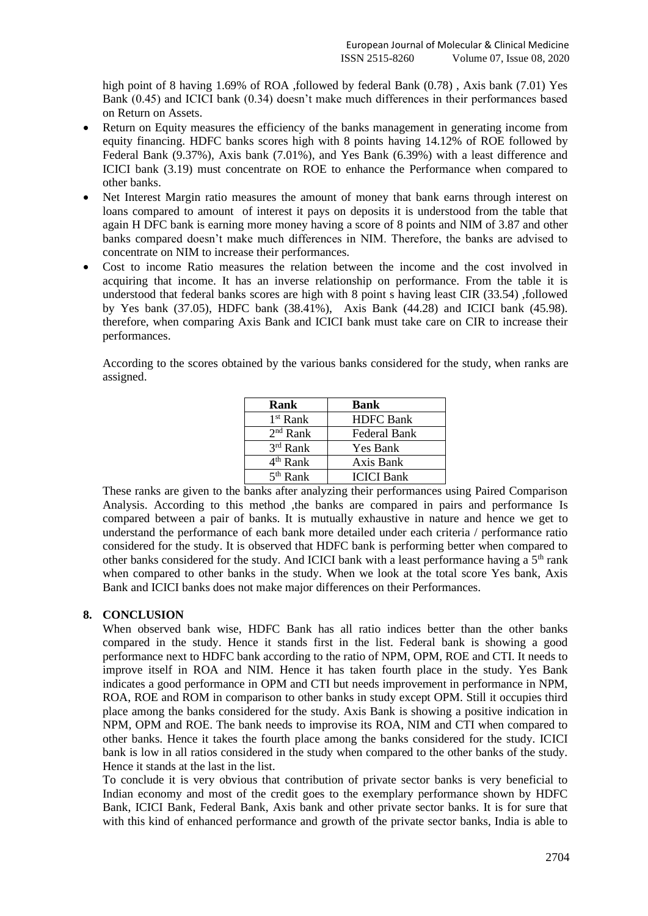high point of 8 having 1.69% of ROA ,followed by federal Bank (0.78), Axis bank (7.01) Yes Bank (0.45) and ICICI bank (0.34) doesn't make much differences in their performances based on Return on Assets.

- Return on Equity measures the efficiency of the banks management in generating income from equity financing. HDFC banks scores high with 8 points having 14.12% of ROE followed by Federal Bank (9.37%), Axis bank (7.01%), and Yes Bank (6.39%) with a least difference and ICICI bank (3.19) must concentrate on ROE to enhance the Performance when compared to other banks.
- Net Interest Margin ratio measures the amount of money that bank earns through interest on loans compared to amount of interest it pays on deposits it is understood from the table that again H DFC bank is earning more money having a score of 8 points and NIM of 3.87 and other banks compared doesn't make much differences in NIM. Therefore, the banks are advised to concentrate on NIM to increase their performances.
- Cost to income Ratio measures the relation between the income and the cost involved in acquiring that income. It has an inverse relationship on performance. From the table it is understood that federal banks scores are high with 8 point s having least CIR (33.54) ,followed by Yes bank (37.05), HDFC bank (38.41%), Axis Bank (44.28) and ICICI bank (45.98). therefore, when comparing Axis Bank and ICICI bank must take care on CIR to increase their performances.

According to the scores obtained by the various banks considered for the study, when ranks are assigned.

| Rank                 | Bank              |
|----------------------|-------------------|
| 1 <sup>st</sup> Rank | <b>HDFC</b> Bank  |
| $2nd$ Rank           | Federal Bank      |
| $3rd$ Rank           | Yes Bank          |
| $4th$ Rank           | Axis Bank         |
| 5 <sup>th</sup> Rank | <b>ICICI</b> Bank |

These ranks are given to the banks after analyzing their performances using Paired Comparison Analysis. According to this method ,the banks are compared in pairs and performance Is compared between a pair of banks. It is mutually exhaustive in nature and hence we get to understand the performance of each bank more detailed under each criteria / performance ratio considered for the study. It is observed that HDFC bank is performing better when compared to other banks considered for the study. And ICICI bank with a least performance having a  $5<sup>th</sup>$  rank when compared to other banks in the study. When we look at the total score Yes bank, Axis Bank and ICICI banks does not make major differences on their Performances.

# **8. CONCLUSION**

When observed bank wise, HDFC Bank has all ratio indices better than the other banks compared in the study. Hence it stands first in the list. Federal bank is showing a good performance next to HDFC bank according to the ratio of NPM, OPM, ROE and CTI. It needs to improve itself in ROA and NIM. Hence it has taken fourth place in the study. Yes Bank indicates a good performance in OPM and CTI but needs improvement in performance in NPM, ROA, ROE and ROM in comparison to other banks in study except OPM. Still it occupies third place among the banks considered for the study. Axis Bank is showing a positive indication in NPM, OPM and ROE. The bank needs to improvise its ROA, NIM and CTI when compared to other banks. Hence it takes the fourth place among the banks considered for the study. ICICI bank is low in all ratios considered in the study when compared to the other banks of the study. Hence it stands at the last in the list.

To conclude it is very obvious that contribution of private sector banks is very beneficial to Indian economy and most of the credit goes to the exemplary performance shown by HDFC Bank, ICICI Bank, Federal Bank, Axis bank and other private sector banks. It is for sure that with this kind of enhanced performance and growth of the private sector banks, India is able to